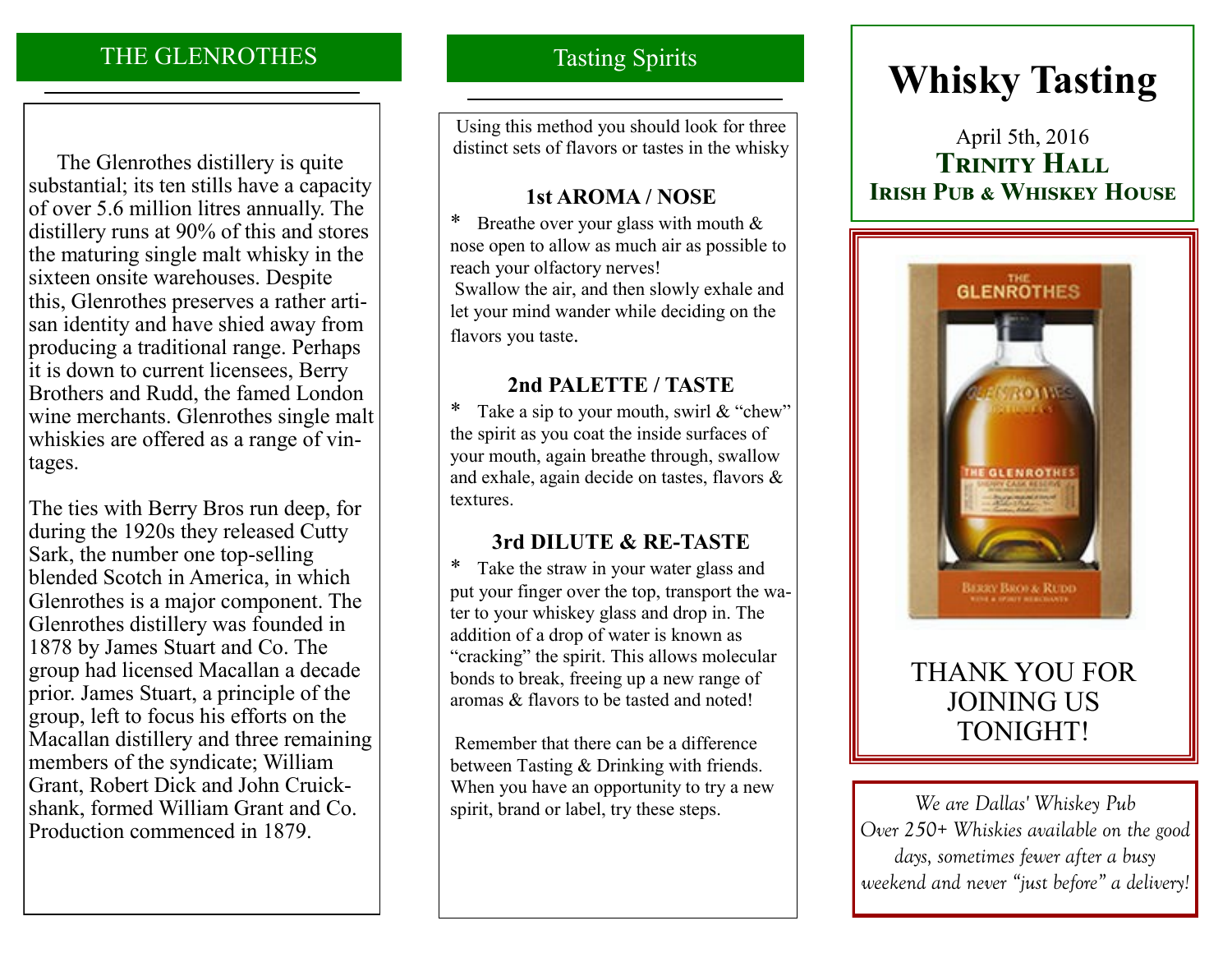## THE GLENROTHES

 The Glenrothes distillery is quite substantial; its ten stills have a capacity of over 5.6 million litres annually. The distillery runs at 90% of this and stores the maturing single malt whisky in the sixteen onsite warehouses. Despite this, Glenrothes preserves a rather artisan identity and have shied away from producing a traditional range. Perhaps it is down to current licensees, Berry Brothers and Rudd, the famed London wine merchants. Glenrothes single malt whiskies are offered as a range of vintages.

The ties with Berry Bros run deep, for during the 1920s they released Cutty Sark, the number one top-selling blended Scotch in America, in which Glenrothes is a major component. The Glenrothes distillery was founded in 1878 by James Stuart and Co. The group had licensed Macallan a decade prior. James Stuart, a principle of the group, left to focus his efforts on the Macallan distillery and three remaining members of the syndicate; William Grant, Robert Dick and John Cruickshank, formed William Grant and Co. Production commenced in 1879.

### Tasting Spirits

Using this method you should look for three distinct sets of flavors or tastes in the whisky

### **1st AROMA / NOSE**

\* Breathe over your glass with mouth & nose open to allow as much air as possible to reach your olfactory nerves! Swallow the air, and then slowly exhale and let your mind wander while deciding on the flavors you taste.

### **2nd PALETTE / TASTE**

\* Take a sip to your mouth, swirl & "chew" the spirit as you coat the inside surfaces of your mouth, again breathe through, swallow and exhale, again decide on tastes, flavors & textures.

### **3rd DILUTE & RE-TASTE**

\* Take the straw in your water glass and put your finger over the top, transport the water to your whiskey glass and drop in. The addition of a drop of water is known as "cracking" the spirit. This allows molecular bonds to break, freeing up a new range of aromas & flavors to be tasted and noted!

Remember that there can be a difference between Tasting & Drinking with friends. When you have an opportunity to try a new spirit, brand or label, try these steps. **We are Dallas' Whiskey Pub** 

# **Whisky Tasting**

# April 5th, 2016 **Trinity Hall Irish Pub & Whiskey House**



# THANK YOU FOR JOINING US TONIGHT!

*Over 250+ Whiskies available on the good days, sometimes fewer after a busy weekend and never "just before" a delivery!*